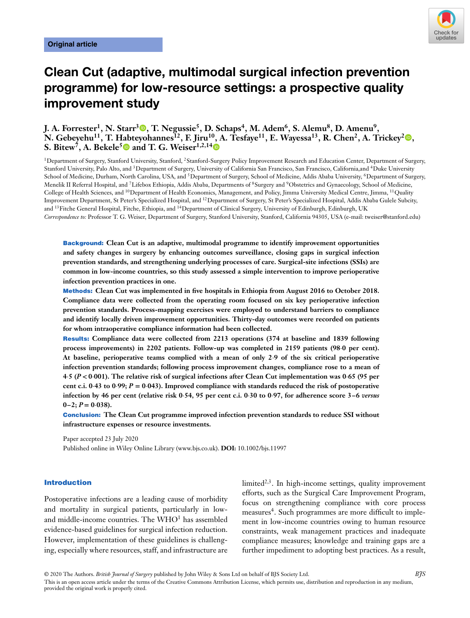

# **Clean Cut (adaptive, multimodal surgical infection prevention programme) for low-resource settings: a prospective quality improvement study**

## **J. A. Forrester<sup>1</sup>[,](https://orcid.org/0000-0003-0714-5512) N. Starr<sup>3</sup><sup>®</sup>, T. Negussie<sup>5</sup>, D. Schaps<sup>4</sup>, M. Adem<sup>6</sup>, S. Alemu<sup>8</sup>, D. Amenu<sup>9</sup>, N. Gebeyehu<sup>11</sup>, T. [Hab](https://orcid.org/0000-0003-0018-9096)teyohannes**<sup>12</sup>[,](https://orcid.org/0000-0001-9993-3860) F. Jiru<sup>10</sup>, [A](https://orcid.org/0000-0002-3118-3888). Tesfaye<sup>11</sup>, E. Wayessa<sup>13</sup>, R. Chen<sup>2</sup>, A. Trickey<sup>2</sup> **, S. Bitew<sup>7</sup>, A. Bekele<sup>5</sup> and T. G. Weiser<sup>1,2,14</sup>**

<sup>1</sup>Department of Surgery, Stanford University, Stanford, <sup>2</sup>Stanford-Surgery Policy Improvement Research and Education Center, Department of Surgery, Stanford University, Palo Alto, and <sup>3</sup>Department of Surgery, University of California San Francisco, San Francisco, California, and <sup>4</sup>Duke University School of Medicine, Durham, North Carolina, USA, and <sup>5</sup>Department of Surgery, School of Medicine, Addis Ababa University, <sup>6</sup>Department of Surgery, Menelik II Referral Hospital, and <sup>7</sup>Lifebox Ethiopia, Addis Ababa, Departments of <sup>8</sup>Surgery and <sup>9</sup>Obstetrics and Gynaecology, School of Medicine, College of Health Sciences, and 10Department of Health Economics, Management, and Policy, Jimma University Medical Centre, Jimma, 11Quality Improvement Department, St Peter's Specialized Hospital, and 12Department of Surgery, St Peter's Specialized Hospital, Addis Ababa Gulele Subcity, and <sup>13</sup>Fitche General Hospital, Fitche, Ethiopia, and <sup>14</sup>Department of Clinical Surgery, University of Edinburgh, Edinburgh, UK *Correspondence to:* Professor T. G. Weiser, Department of Surgery, Stanford University, Stanford, California 94305, USA (e-mail: tweiser@stanford.edu)

**Background: Clean Cut is an adaptive, multimodal programme to identify improvement opportunities and safety changes in surgery by enhancing outcomes surveillance, closing gaps in surgical infection prevention standards, and strengthening underlying processes of care. Surgical-site infections (SSIs) are common in low-income countries, so this study assessed a simple intervention to improve perioperative infection prevention practices in one.**

**Methods: Clean Cut was implemented in five hospitals in Ethiopia from August 2016 to October 2018. Compliance data were collected from the operating room focused on six key perioperative infection prevention standards. Process-mapping exercises were employed to understand barriers to compliance and identify locally driven improvement opportunities. Thirty-day outcomes were recorded on patients for whom intraoperative compliance information had been collected.**

**Results: Compliance data were collected from 2213 operations (374 at baseline and 1839 following process improvements) in 2202 patients. Follow-up was completed in 2159 patients (98⋅0 per cent). At baseline, perioperative teams complied with a mean of only 2⋅9 of the six critical perioperative infection prevention standards; following process improvement changes, compliance rose to a mean of 4⋅5 (***P <* **0⋅001). The relative risk of surgical infections after Clean Cut implementation was 0⋅65 (95 per cent c.i. 0⋅43 to 0⋅99;** *P* **= 0⋅043). Improved compliance with standards reduced the risk of postoperative infection by 46 per cent (relative risk 0⋅54, 95 per cent c.i. 0⋅30 to 0⋅97, for adherence score 3–6** *versus*  $0-2$ ;  $P = 0.038$ ).

**Conclusion: The Clean Cut programme improved infection prevention standards to reduce SSI without infrastructure expenses or resource investments.**

Paper accepted 23 July 2020 Published online in Wiley Online Library (www.bjs.co.uk). **DOI:** 10.1002/bjs.11997

#### **Introduction**

Postoperative infections are a leading cause of morbidity and mortality in surgical patients, particularly in lowand middle-income countries. The WHO<sup>1</sup> has assembled evidence-based guidelines for surgical infection reduction. However, implementation of these guidelines is challenging, especially where resources, staff, and infrastructure are

limited<sup>2,3</sup>. In high-income settings, quality improvement efforts, such as the Surgical Care Improvement Program, focus on strengthening compliance with core process measures<sup>4</sup>. Such programmes are more difficult to implement in low-income countries owing to human resource constraints, weak management practices and inadequate compliance measures; knowledge and training gaps are a further impediment to adopting best practices. As a result,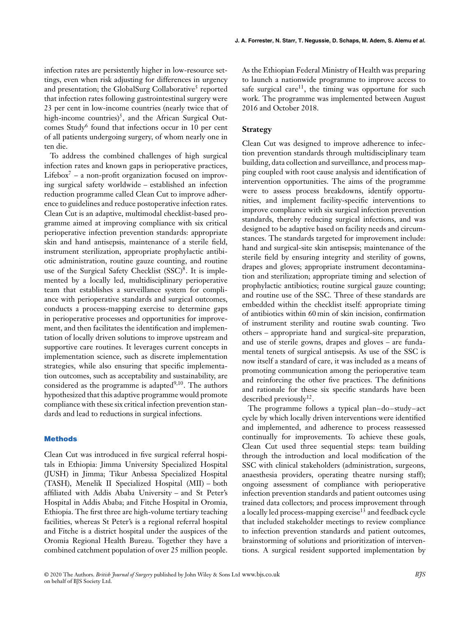infection rates are persistently higher in low-resource settings, even when risk adjusting for differences in urgency and presentation; the GlobalSurg Collaborative<sup>5</sup> reported that infection rates following gastrointestinal surgery were 23 per cent in low-income countries (nearly twice that of high-income countries)<sup>5</sup>, and the African Surgical Outcomes Study<sup>6</sup> found that infections occur in 10 per cent of all patients undergoing surgery, of whom nearly one in ten die.

To address the combined challenges of high surgical infection rates and known gaps in perioperative practices, Lifebox<sup>7</sup> – a non-profit organization focused on improving surgical safety worldwide – established an infection reduction programme called Clean Cut to improve adherence to guidelines and reduce postoperative infection rates. Clean Cut is an adaptive, multimodal checklist-based programme aimed at improving compliance with six critical perioperative infection prevention standards: appropriate skin and hand antisepsis, maintenance of a sterile field, instrument sterilization, appropriate prophylactic antibiotic administration, routine gauze counting, and routine use of the Surgical Safety Checklist  $(SSC)^8$ . It is implemented by a locally led, multidisciplinary perioperative team that establishes a surveillance system for compliance with perioperative standards and surgical outcomes, conducts a process-mapping exercise to determine gaps in perioperative processes and opportunities for improvement, and then facilitates the identification and implementation of locally driven solutions to improve upstream and supportive care routines. It leverages current concepts in implementation science, such as discrete implementation strategies, while also ensuring that specific implementation outcomes, such as acceptability and sustainability, are considered as the programme is adapted $9,10$ . The authors hypothesized that this adaptive programme would promote compliance with these six critical infection prevention standards and lead to reductions in surgical infections.

#### **Methods**

Clean Cut was introduced in five surgical referral hospitals in Ethiopia: Jimma University Specialized Hospital (JUSH) in Jimma; Tikur Anbessa Specialized Hospital (TASH), Menelik II Specialized Hospital (MII) – both affiliated with Addis Ababa University – and St Peter's Hospital in Addis Ababa; and Fitche Hospital in Oromia, Ethiopia. The first three are high-volume tertiary teaching facilities, whereas St Peter's is a regional referral hospital and Fitche is a district hospital under the auspices of the Oromia Regional Health Bureau. Together they have a combined catchment population of over 25 million people.

As the Ethiopian Federal Ministry of Health was preparing to launch a nationwide programme to improve access to safe surgical care<sup>11</sup>, the timing was opportune for such work. The programme was implemented between August 2016 and October 2018.

#### **Strategy**

Clean Cut was designed to improve adherence to infection prevention standards through multidisciplinary team building, data collection and surveillance, and process mapping coupled with root cause analysis and identification of intervention opportunities. The aims of the programme were to assess process breakdowns, identify opportunities, and implement facility-specific interventions to improve compliance with six surgical infection prevention standards, thereby reducing surgical infections, and was designed to be adaptive based on facility needs and circumstances. The standards targeted for improvement include: hand and surgical-site skin antisepsis; maintenance of the sterile field by ensuring integrity and sterility of gowns, drapes and gloves; appropriate instrument decontamination and sterilization; appropriate timing and selection of prophylactic antibiotics; routine surgical gauze counting; and routine use of the SSC. Three of these standards are embedded within the checklist itself: appropriate timing of antibiotics within 60 min of skin incision, confirmation of instrument sterility and routine swab counting. Two others – appropriate hand and surgical-site preparation, and use of sterile gowns, drapes and gloves – are fundamental tenets of surgical antisepsis. As use of the SSC is now itself a standard of care, it was included as a means of promoting communication among the perioperative team and reinforcing the other five practices. The definitions and rationale for these six specific standards have been described previously<sup>12</sup>.

The programme follows a typical plan–do–study–act cycle by which locally driven interventions were identified and implemented, and adherence to process reassessed continually for improvements. To achieve these goals, Clean Cut used three sequential steps: team building through the introduction and local modification of the SSC with clinical stakeholders (administration, surgeons, anaesthesia providers, operating theatre nursing staff); ongoing assessment of compliance with perioperative infection prevention standards and patient outcomes using trained data collectors; and process improvement through a locally led process-mapping exercise<sup>13</sup> and feedback cycle that included stakeholder meetings to review compliance to infection prevention standards and patient outcomes, brainstorming of solutions and prioritization of interventions. A surgical resident supported implementation by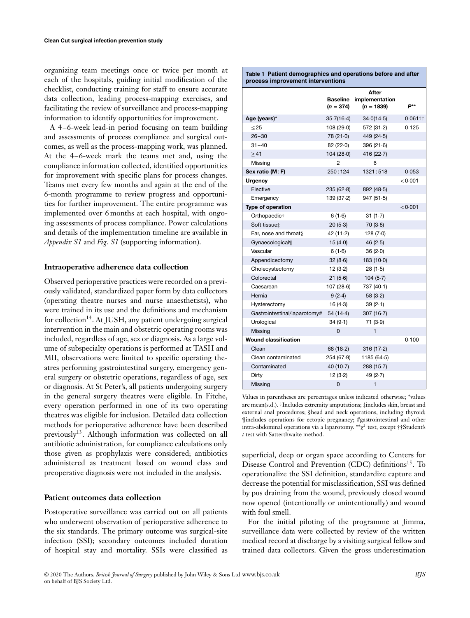organizing team meetings once or twice per month at each of the hospitals, guiding initial modification of the checklist, conducting training for staff to ensure accurate data collection, leading process-mapping exercises, and facilitating the review of surveillance and process-mapping information to identify opportunities for improvement.

A 4–6-week lead-in period focusing on team building and assessments of process compliance and surgical outcomes, as well as the process-mapping work, was planned. At the 4–6-week mark the teams met and, using the compliance information collected, identified opportunities for improvement with specific plans for process changes. Teams met every few months and again at the end of the 6-month programme to review progress and opportunities for further improvement. The entire programme was implemented over 6 months at each hospital, with ongoing assessments of process compliance. Power calculations and details of the implementation timeline are available in *Appendix S1* and *Fig*. *S1* (supporting information).

#### **Intraoperative adherence data collection**

Observed perioperative practices were recorded on a previously validated, standardized paper form by data collectors (operating theatre nurses and nurse anaesthetists), who were trained in its use and the definitions and mechanism for collection<sup>14</sup>. At JUSH, any patient undergoing surgical intervention in the main and obstetric operating rooms was included, regardless of age, sex or diagnosis. As a large volume of subspecialty operations is performed at TASH and MII, observations were limited to specific operating theatres performing gastrointestinal surgery, emergency general surgery or obstetric operations, regardless of age, sex or diagnosis. At St Peter's, all patients undergoing surgery in the general surgery theatres were eligible. In Fitche, every operation performed in one of its two operating theatres was eligible for inclusion. Detailed data collection methods for perioperative adherence have been described previously13. Although information was collected on all antibiotic administration, for compliance calculations only those given as prophylaxis were considered; antibiotics administered as treatment based on wound class and preoperative diagnosis were not included in the analysis.

#### **Patient outcomes data collection**

Postoperative surveillance was carried out on all patients who underwent observation of perioperative adherence to the six standards. The primary outcome was surgical-site infection (SSI); secondary outcomes included duration of hospital stay and mortality. SSIs were classified as

| Table 1 Patient demographics and operations before and after<br>process improvement interventions |                                |                                         |            |
|---------------------------------------------------------------------------------------------------|--------------------------------|-----------------------------------------|------------|
|                                                                                                   | <b>Baseline</b><br>$(n = 374)$ | After<br>implementation<br>$(n = 1839)$ | P**        |
| Age (years)*                                                                                      | 35.7(16.4)                     | 34.0(14.5)                              | $0.061$ †† |
| < 25                                                                                              | 108 (29.0)                     | 572 (31.2)                              | 0.125      |
| $26 - 30$                                                                                         | 78 (21.0)                      | 449 (24.5)                              |            |
| $31 - 40$                                                                                         | 82(22.0)                       | 396(21.6)                               |            |
| >41                                                                                               | 104 (28.0)                     | 416 (22.7)                              |            |
| Missing                                                                                           | 2                              | 6                                       |            |
| Sex ratio (M:F)                                                                                   | 250:124                        | 1321:518                                | 0.053      |
| <b>Urgency</b>                                                                                    |                                |                                         | < 0.001    |
| Elective                                                                                          | 235(62.8)                      | 892 (48.5)                              |            |
| Emergency                                                                                         | 139 (37.2)                     | 947(51.5)                               |            |
| Type of operation                                                                                 |                                |                                         | < 0.001    |
| Orthopaedic <sup>+</sup>                                                                          | 6(1.6)                         | 31(1.7)                                 |            |
| Soft tissue‡                                                                                      | 20(5.3)                        | 70(3.8)                                 |            |
| Ear, nose and throat§                                                                             | 42 (11.2)                      | 128(7.0)                                |            |
| Gynaecological                                                                                    | 15 $(4.0)$                     | 46 $(2.5)$                              |            |
| Vascular                                                                                          | 6(1.6)                         | 36(2.0)                                 |            |
| Appendicectomy                                                                                    | 32(8.6)                        | 183(10.0)                               |            |
| Cholecystectomy                                                                                   | 12(3.2)                        | 28(1.5)                                 |            |
| Colorectal                                                                                        | 21(5.6)                        | 104(5.7)                                |            |
| Caesarean                                                                                         | 107(28.6)                      | 737 (40.1)                              |            |
| Hernia                                                                                            | 9(2.4)                         | 58(3.2)                                 |            |
| Hysterectomy                                                                                      | 16(4.3)                        | 39(2.1)                                 |            |
| Gastrointestinal/laparotomy#                                                                      | 54 (14.4)                      | 307(16.7)                               |            |
| Urological                                                                                        | 34(9.1)                        | 71 (3.9)                                |            |
| Missing                                                                                           | 0                              | 1                                       |            |
| <b>Wound classification</b>                                                                       |                                |                                         | 0.100      |
| Clean                                                                                             | 68(18.2)                       | 316(17.2)                               |            |
| Clean contaminated                                                                                | 254 (67.9)                     | 1185 (64.5)                             |            |
| Contaminated                                                                                      | 40(10.7)                       | 288(15.7)                               |            |
| Dirty                                                                                             | 12(3.2)                        | 49 $(2.7)$                              |            |
| Missing                                                                                           | $\Omega$                       | $\mathbf{1}$                            |            |

Values in parentheses are percentages unless indicated otherwise; \*values are mean(s.d.). †Includes extremity amputations; ‡includes skin, breast and external anal procedures; §head and neck operations, including thyroid; ¶includes operations for ectopic pregnancy; #gastrointestinal and other intra-abdominal operations via a laparotomy. \*\* $\chi^2$  test, except ††Student's *t* test with Satterthwaite method.

superficial, deep or organ space according to Centers for Disease Control and Prevention (CDC) definitions<sup>15</sup>. To operationalize the SSI definition, standardize capture and decrease the potential for misclassification, SSI was defined by pus draining from the wound, previously closed wound now opened (intentionally or unintentionally) and wound with foul smell.

For the initial piloting of the programme at Jimma, surveillance data were collected by review of the written medical record at discharge by a visiting surgical fellow and trained data collectors. Given the gross underestimation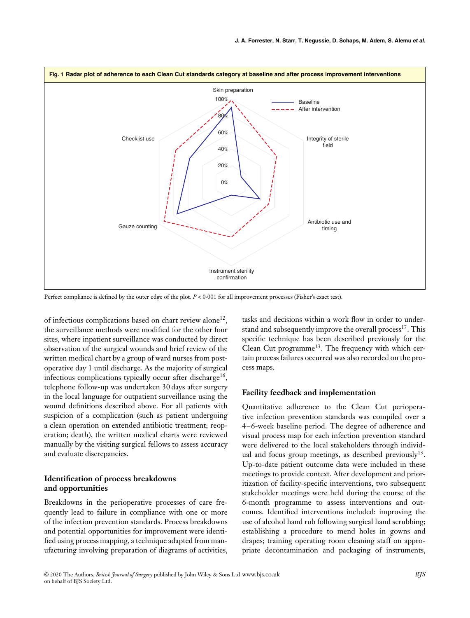

Perfect compliance is defined by the outer edge of the plot.  $P < 0.001$  for all improvement processes (Fisher's exact test).

of infectious complications based on chart review alone<sup>12</sup>, the surveillance methods were modified for the other four sites, where inpatient surveillance was conducted by direct observation of the surgical wounds and brief review of the written medical chart by a group of ward nurses from postoperative day 1 until discharge. As the majority of surgical infectious complications typically occur after discharge<sup>16</sup>, telephone follow-up was undertaken 30 days after surgery in the local language for outpatient surveillance using the wound definitions described above. For all patients with suspicion of a complication (such as patient undergoing a clean operation on extended antibiotic treatment; reoperation; death), the written medical charts were reviewed manually by the visiting surgical fellows to assess accuracy and evaluate discrepancies.

### **Identification of process breakdowns and opportunities**

Breakdowns in the perioperative processes of care frequently lead to failure in compliance with one or more of the infection prevention standards. Process breakdowns and potential opportunities for improvement were identified using process mapping, a technique adapted from manufacturing involving preparation of diagrams of activities,

tasks and decisions within a work flow in order to understand and subsequently improve the overall process<sup>17</sup>. This specific technique has been described previously for the Clean Cut programme<sup>13</sup>. The frequency with which certain process failures occurred was also recorded on the process maps.

#### **Facility feedback and implementation**

Quantitative adherence to the Clean Cut perioperative infection prevention standards was compiled over a 4–6-week baseline period. The degree of adherence and visual process map for each infection prevention standard were delivered to the local stakeholders through individual and focus group meetings, as described previously<sup>13</sup>. Up-to-date patient outcome data were included in these meetings to provide context. After development and prioritization of facility-specific interventions, two subsequent stakeholder meetings were held during the course of the 6-month programme to assess interventions and outcomes. Identified interventions included: improving the use of alcohol hand rub following surgical hand scrubbing; establishing a procedure to mend holes in gowns and drapes; training operating room cleaning staff on appropriate decontamination and packaging of instruments,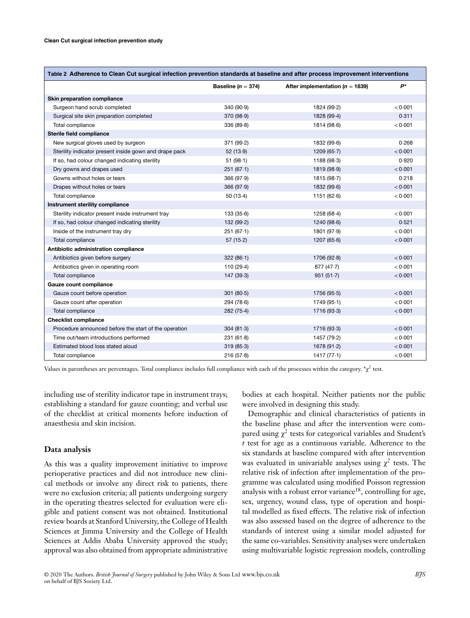| Table 2 Adherence to Clean Cut surgical infection prevention standards at baseline and after process improvement interventions |                        |                                     |         |
|--------------------------------------------------------------------------------------------------------------------------------|------------------------|-------------------------------------|---------|
|                                                                                                                                | Baseline ( $n = 374$ ) | After implementation ( $n = 1839$ ) | $P^*$   |
| Skin preparation compliance                                                                                                    |                        |                                     |         |
| Surgeon hand scrub completed                                                                                                   | 340(90.9)              | 1824 (99-2)                         | < 0.001 |
| Surgical site skin preparation completed                                                                                       | 370 (98.9)             | 1828 (99.4)                         | 0.311   |
| Total compliance                                                                                                               | 336(89.8)              | 1814 (98.6)                         | < 0.001 |
| Sterile field compliance                                                                                                       |                        |                                     |         |
| New surgical gloves used by surgeon                                                                                            | 371 (99.2)             | 1832 (99.6)                         | 0.268   |
| Sterility indicator present inside gown and drape pack                                                                         | 52(13.9)               | 1209(65.7)                          | < 0.001 |
| If so, had colour changed indicating sterility                                                                                 | 51(98.1)               | 1188 (98-3)                         | 0.920   |
| Dry gowns and drapes used                                                                                                      | 251(67.1)              | 1819 (98.9)                         | < 0.001 |
| Gowns without holes or tears                                                                                                   | 366(97.9)              | 1815 (98.7)                         | 0.218   |
| Drapes without holes or tears                                                                                                  | 366(97.9)              | 1832 (99.6)                         | < 0.001 |
| Total compliance                                                                                                               | 50(13.4)               | 1151(62.6)                          | < 0.001 |
| Instrument sterility compliance                                                                                                |                        |                                     |         |
| Sterility indicator present inside instrument tray                                                                             | 133(35.6)              | 1258 (68-4)                         | < 0.001 |
| If so, had colour changed indicating sterility                                                                                 | 132 (99.2)             | 1240 (98.6)                         | 0.521   |
| Inside of the instrument tray dry                                                                                              | 251(67.1)              | 1801 (97.9)                         | < 0.001 |
| Total compliance                                                                                                               | 57(15.2)               | 1207(65.6)                          | < 0.001 |
| Antibiotic administration compliance                                                                                           |                        |                                     |         |
| Antibiotics given before surgery                                                                                               | 322(86.1)              | 1706(92.8)                          | < 0.001 |
| Antibiotics given in operating room                                                                                            | 110 (29-4)             | 877(47.7)                           | < 0.001 |
| Total compliance                                                                                                               | 147 (39.3)             | 951(51.7)                           | < 0.001 |
| Gauze count compliance                                                                                                         |                        |                                     |         |
| Gauze count before operation                                                                                                   | 301(80.5)              | 1756 (95.5)                         | < 0.001 |
| Gauze count after operation                                                                                                    | 294(78.6)              | 1749 (95-1)                         | < 0.001 |
| Total compliance                                                                                                               | 282(75.4)              | 1716 (93-3)                         | < 0.001 |
| <b>Checklist compliance</b>                                                                                                    |                        |                                     |         |
| Procedure announced before the start of the operation                                                                          | 304(81.3)              | 1716 (93-3)                         | < 0.001 |
| Time out/team introductions performed                                                                                          | 231(61.8)              | 1457 (79-2)                         | < 0.001 |
| Estimated blood loss stated aloud                                                                                              | 319(85.3)              | 1678 (91.2)                         | < 0.001 |
| Total compliance                                                                                                               | 216(57.8)              | 1417(77.1)                          | < 0.001 |

Values in parentheses are percentages. Total compliance includes full compliance with each of the processes within the category.  $\frac{*}{x^2}$  test.

including use of sterility indicator tape in instrument trays; establishing a standard for gauze counting; and verbal use of the checklist at critical moments before induction of anaesthesia and skin incision.

#### **Data analysis**

As this was a quality improvement initiative to improve perioperative practices and did not introduce new clinical methods or involve any direct risk to patients, there were no exclusion criteria; all patients undergoing surgery in the operating theatres selected for evaluation were eligible and patient consent was not obtained. Institutional review boards at Stanford University, the College of Health Sciences at Jimma University and the College of Health Sciences at Addis Ababa University approved the study; approval was also obtained from appropriate administrative

bodies at each hospital. Neither patients nor the public were involved in designing this study.

Demographic and clinical characteristics of patients in the baseline phase and after the intervention were compared using  $\chi^2$  tests for categorical variables and Student's *t* test for age as a continuous variable. Adherence to the six standards at baseline compared with after intervention was evaluated in univariable analyses using  $\chi^2$  tests. The relative risk of infection after implementation of the programme was calculated using modified Poisson regression analysis with a robust error variance<sup>18</sup>, controlling for age, sex, urgency, wound class, type of operation and hospital modelled as fixed effects. The relative risk of infection was also assessed based on the degree of adherence to the standards of interest using a similar model adjusted for the same co-variables. Sensitivity analyses were undertaken using multivariable logistic regression models, controlling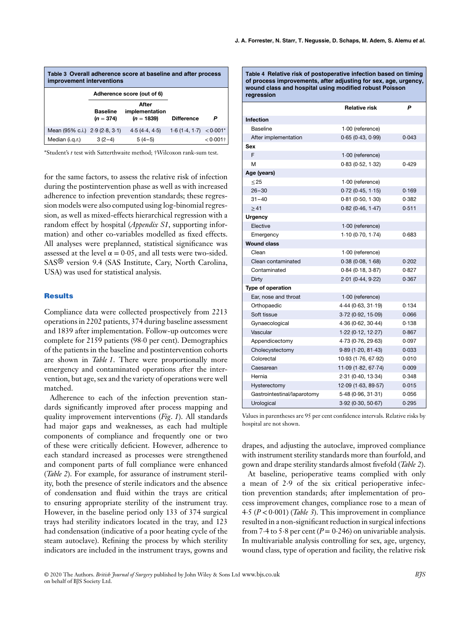| Table 3 Overall adherence score at baseline and after process<br>improvement interventions |                                |                                         |                           |             |
|--------------------------------------------------------------------------------------------|--------------------------------|-----------------------------------------|---------------------------|-------------|
|                                                                                            |                                | Adherence score (out of 6)              |                           |             |
|                                                                                            | <b>Baseline</b><br>$(n = 374)$ | After<br>implementation<br>$(n = 1839)$ | <b>Difference</b>         | Р           |
| Mean (95% c.i.) 2.9 (2.8, 3.1)                                                             |                                | 4.5(4.4, 4.5)                           | $1.6(1.4, 1.7) < 0.001$ * |             |
| Median (i.g.r.)                                                                            | $3(2-4)$                       | $5(4-5)$                                |                           | $< 0.001$ † |

\*Student's *t* test with Satterthwaite method; †Wilcoxon rank-sum test.

for the same factors, to assess the relative risk of infection during the postintervention phase as well as with increased adherence to infection prevention standards; these regression models were also computed using log-binomial regression, as well as mixed-effects hierarchical regression with a random effect by hospital (*Appendix S1*, supporting information) and other co-variables modelled as fixed effects. All analyses were preplanned, statistical significance was assessed at the level  $\alpha = 0.05$ , and all tests were two-sided. SAS® version 9.4 (SAS Institute, Cary, North Carolina, USA) was used for statistical analysis.

#### **Results**

Compliance data were collected prospectively from 2213 operations in 2202 patients, 374 during baseline assessment and 1839 after implementation. Follow-up outcomes were complete for 2159 patients (98⋅0 per cent). Demographics of the patients in the baseline and postintervention cohorts are shown in *Table 1*. There were proportionally more emergency and contaminated operations after the intervention, but age, sex and the variety of operations were well matched.

Adherence to each of the infection prevention standards significantly improved after process mapping and quality improvement interventions (*Fig*. *1*). All standards had major gaps and weaknesses, as each had multiple components of compliance and frequently one or two of these were critically deficient. However, adherence to each standard increased as processes were strengthened and component parts of full compliance were enhanced (*Table 2*). For example, for assurance of instrument sterility, both the presence of sterile indicators and the absence of condensation and fluid within the trays are critical to ensuring appropriate sterility of the instrument tray. However, in the baseline period only 133 of 374 surgical trays had sterility indicators located in the tray, and 123 had condensation (indicative of a poor heating cycle of the steam autoclave). Refining the process by which sterility indicators are included in the instrument trays, gowns and

**Table 4 Relative risk of postoperative infection based on timing of process improvements, after adjusting for sex, age, urgency, wound class and hospital using modified robust Poisson regression**

|                             | <b>Relative risk</b> | P     |
|-----------------------------|----------------------|-------|
| <b>Infection</b>            |                      |       |
| Baseline                    | 1.00 (reference)     |       |
| After implementation        | 0.65(0.43, 0.99)     | 0.043 |
| Sex                         |                      |       |
| F                           | $1.00$ (reference)   |       |
| М                           | 0.83(0.52, 1.32)     | 0.429 |
| Age (years)                 |                      |       |
| $\leq$ 25                   | $1.00$ (reference)   |       |
| $26 - 30$                   | 0.72(0.45, 1.15)     | 0.169 |
| $31 - 40$                   | 0.81(0.50, 1.30)     | 0.382 |
| $\geq 41$                   | 0.82(0.46, 1.47)     | 0.511 |
| <b>Urgency</b>              |                      |       |
| Elective                    | $1.00$ (reference)   |       |
| Emergency                   | 1.10(0.70, 1.74)     | 0.683 |
| <b>Wound class</b>          |                      |       |
| Clean                       | $1.00$ (reference)   |       |
| Clean contaminated          | 0.38(0.08, 1.68)     | 0.202 |
| Contaminated                | 0.84(0.18, 3.87)     | 0.827 |
| Dirty                       | 2.01(0.44, 9.22)     | 0.367 |
| Type of operation           |                      |       |
| Ear, nose and throat        | $1.00$ (reference)   |       |
| Orthopaedic                 | 4.44(0.63, 31.19)    | 0.134 |
| Soft tissue                 | 3.72 (0.92, 15.09)   | 0.066 |
| Gynaecological              | 4.36(0.62, 30.44)    | 0.138 |
| Vascular                    | 1.22(0.12, 12.27)    | 0.867 |
| Appendicectomy              | 4.73 (0.76, 29.63)   | 0.097 |
| Cholecystectomy             | 9.89(1.20, 81.43)    | 0.033 |
| Colorectal                  | 10.93 (1.76, 67.92)  | 0.010 |
| Caesarean                   | 11.09(1.82, 67.74)   | 0.009 |
| Hernia                      | 2.31 (0.40, 13.34)   | 0.348 |
| Hysterectomy                | 12.09(1.63, 89.57)   | 0.015 |
| Gastrointestinal/laparotomy | 5.48 (0.96, 31.31)   | 0.056 |
| Urological                  | 3.92 (0.30, 50.67)   | 0.295 |

Values in parentheses are 95 per cent confidence intervals. Relative risks by hospital are not shown.

drapes, and adjusting the autoclave, improved compliance with instrument sterility standards more than fourfold, and gown and drape sterility standards almost fivefold (*Table 2*).

At baseline, perioperative teams complied with only a mean of 2⋅9 of the six critical perioperative infection prevention standards; after implementation of process improvement changes, compliance rose to a mean of 4⋅5 (*P <*0⋅001) (*Table 3*). This improvement in compliance resulted in a non-significant reduction in surgical infections from 7⋅4 to 5⋅8 per cent  $(P = 0.246)$  on univariable analysis. In multivariable analysis controlling for sex, age, urgency, wound class, type of operation and facility, the relative risk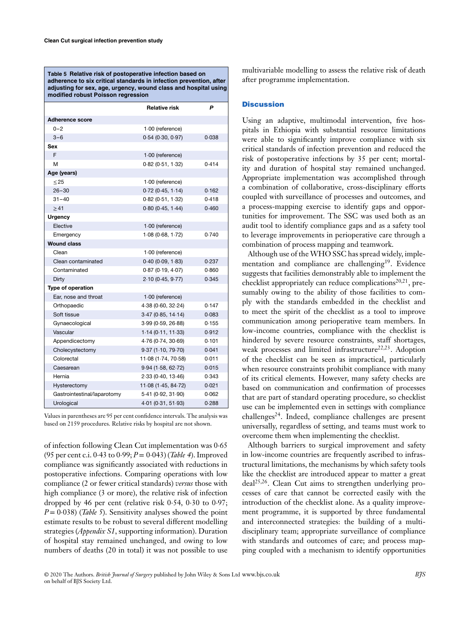**Table 5 Relative risk of postoperative infection based on adherence to six critical standards in infection prevention, after adjusting for sex, age, urgency, wound class and hospital using modified robust Poisson regression**

|                             | <b>Relative risk</b> | P     |
|-----------------------------|----------------------|-------|
| <b>Adherence score</b>      |                      |       |
| $0 - 2$                     | 1.00 (reference)     |       |
| $3 - 6$                     | 0.54(0.30, 0.97)     | 0.038 |
| Sex                         |                      |       |
| F                           | 1.00 (reference)     |       |
| м                           | 0.82(0.51, 1.32)     | 0.414 |
| Age (years)                 |                      |       |
| $\leq$ 25                   | 1.00 (reference)     |       |
| $26 - 30$                   | $0.72$ (0.45, 1.14)  | 0.162 |
| $31 - 40$                   | 0.82(0.51, 1.32)     | 0.418 |
| $\geq 41$                   | 0.80(0.45, 1.44)     | 0.460 |
| <b>Urgency</b>              |                      |       |
| Elective                    | 1.00 (reference)     |       |
| Emergency                   | 1.08(0.68, 1.72)     | 0.740 |
| <b>Wound class</b>          |                      |       |
| Clean                       | 1.00 (reference)     |       |
| Clean contaminated          | 0.40(0.09, 1.83)     | 0.237 |
| Contaminated                | 0.87(0.19, 4.07)     | 0.860 |
| Dirty                       | 2.10(0.45, 9.77)     | 0.345 |
| Type of operation           |                      |       |
| Ear, nose and throat        | $1.00$ (reference)   |       |
| Orthopaedic                 | 4.38(0.60, 32.24)    | 0.147 |
| Soft tissue                 | 3.47(0.85, 14.14)    | 0.083 |
| Gynaecological              | 3.99(0.59, 26.88)    | 0.155 |
| Vascular                    | 1.14(0.11, 11.33)    | 0.912 |
| Appendicectomy              | 4.76 (0.74, 30.69)   | 0.101 |
| Cholecystectomy             | 9.37(1.10, 79.70)    | 0.041 |
| Colorectal                  | 11.08 (1.74, 70.58)  | 0.011 |
| Caesarean                   | 9.94(1.58, 62.72)    | 0.015 |
| Hernia                      | 2.33 (0.40, 13.46)   | 0.343 |
| Hysterectomy                | 11.08 (1.45, 84.72)  | 0.021 |
| Gastrointestinal/laparotomy | 5.41 (0.92, 31.90)   | 0.062 |
| Urological                  | 4.01 (0.31, 51.93)   | 0.288 |

Values in parentheses are 95 per cent confidence intervals. The analysis was based on 2159 procedures. Relative risks by hospital are not shown.

of infection following Clean Cut implementation was 0⋅65 (95 per cent c.i. 0⋅43 to 0⋅99; *P*= 0⋅043) (*Table 4*). Improved compliance was significantly associated with reductions in postoperative infections. Comparing operations with low compliance (2 or fewer critical standards) *versus* those with high compliance (3 or more), the relative risk of infection dropped by 46 per cent (relative risk 0⋅54, 0⋅30 to 0⋅97; *P* = 0⋅038) (*Table 5*). Sensitivity analyses showed the point estimate results to be robust to several different modelling strategies (*Appendix S1*, supporting information). Duration of hospital stay remained unchanged, and owing to low numbers of deaths (20 in total) it was not possible to use

multivariable modelling to assess the relative risk of death after programme implementation.

#### **Discussion**

Using an adaptive, multimodal intervention, five hospitals in Ethiopia with substantial resource limitations were able to significantly improve compliance with six critical standards of infection prevention and reduced the risk of postoperative infections by 35 per cent; mortality and duration of hospital stay remained unchanged. Appropriate implementation was accomplished through a combination of collaborative, cross-disciplinary efforts coupled with surveillance of processes and outcomes, and a process-mapping exercise to identify gaps and opportunities for improvement. The SSC was used both as an audit tool to identify compliance gaps and as a safety tool to leverage improvements in perioperative care through a combination of process mapping and teamwork.

Although use of the WHO SSC has spread widely, implementation and compliance are challenging<sup>19</sup>. Evidence suggests that facilities demonstrably able to implement the checklist appropriately can reduce complications<sup>20,21</sup>, presumably owing to the ability of those facilities to comply with the standards embedded in the checklist and to meet the spirit of the checklist as a tool to improve communication among perioperative team members. In low-income countries, compliance with the checklist is hindered by severe resource constraints, staff shortages, weak processes and limited infrastructure<sup>22,23</sup>. Adoption of the checklist can be seen as impractical, particularly when resource constraints prohibit compliance with many of its critical elements. However, many safety checks are based on communication and confirmation of processes that are part of standard operating procedure, so checklist use can be implemented even in settings with compliance  $challenges<sup>24</sup>$ . Indeed, compliance challenges are present universally, regardless of setting, and teams must work to overcome them when implementing the checklist.

Although barriers to surgical improvement and safety in low-income countries are frequently ascribed to infrastructural limitations, the mechanisms by which safety tools like the checklist are introduced appear to matter a great deal25,26. Clean Cut aims to strengthen underlying processes of care that cannot be corrected easily with the introduction of the checklist alone. As a quality improvement programme, it is supported by three fundamental and interconnected strategies: the building of a multidisciplinary team; appropriate surveillance of compliance with standards and outcomes of care; and process mapping coupled with a mechanism to identify opportunities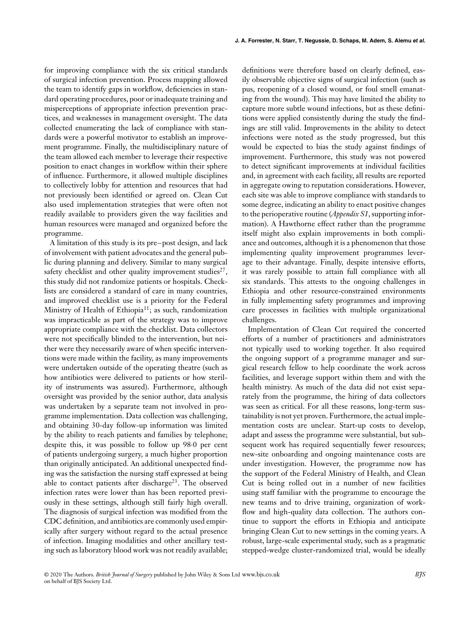for improving compliance with the six critical standards of surgical infection prevention. Process mapping allowed the team to identify gaps in workflow, deficiencies in standard operating procedures, poor or inadequate training and misperceptions of appropriate infection prevention practices, and weaknesses in management oversight. The data collected enumerating the lack of compliance with standards were a powerful motivator to establish an improvement programme. Finally, the multidisciplinary nature of the team allowed each member to leverage their respective position to enact changes in workflow within their sphere of influence. Furthermore, it allowed multiple disciplines to collectively lobby for attention and resources that had not previously been identified or agreed on. Clean Cut also used implementation strategies that were often not readily available to providers given the way facilities and human resources were managed and organized before the programme.

A limitation of this study is its pre–post design, and lack of involvement with patient advocates and the general public during planning and delivery. Similar to many surgical safety checklist and other quality improvement studies<sup>27</sup>, this study did not randomize patients or hospitals. Checklists are considered a standard of care in many countries, and improved checklist use is a priority for the Federal Ministry of Health of Ethiopia<sup>11</sup>; as such, randomization was impracticable as part of the strategy was to improve appropriate compliance with the checklist. Data collectors were not specifically blinded to the intervention, but neither were they necessarily aware of when specific interventions were made within the facility, as many improvements were undertaken outside of the operating theatre (such as how antibiotics were delivered to patients or how sterility of instruments was assured). Furthermore, although oversight was provided by the senior author, data analysis was undertaken by a separate team not involved in programme implementation. Data collection was challenging, and obtaining 30-day follow-up information was limited by the ability to reach patients and families by telephone; despite this, it was possible to follow up 98⋅0 per cent of patients undergoing surgery, a much higher proportion than originally anticipated. An additional unexpected finding was the satisfaction the nursing staff expressed at being able to contact patients after discharge<sup>23</sup>. The observed infection rates were lower than has been reported previously in these settings, although still fairly high overall. The diagnosis of surgical infection was modified from the CDC definition, and antibiotics are commonly used empirically after surgery without regard to the actual presence of infection. Imaging modalities and other ancillary testing such as laboratory blood work was not readily available;

definitions were therefore based on clearly defined, easily observable objective signs of surgical infection (such as pus, reopening of a closed wound, or foul smell emanating from the wound). This may have limited the ability to capture more subtle wound infections, but as these definitions were applied consistently during the study the findings are still valid. Improvements in the ability to detect infections were noted as the study progressed, but this would be expected to bias the study against findings of improvement. Furthermore, this study was not powered to detect significant improvements at individual facilities and, in agreement with each facility, all results are reported in aggregate owing to reputation considerations. However, each site was able to improve compliance with standards to some degree, indicating an ability to enact positive changes to the perioperative routine (*Appendix S1*, supporting information). A Hawthorne effect rather than the programme itself might also explain improvements in both compliance and outcomes, although it is a phenomenon that those implementing quality improvement programmes leverage to their advantage. Finally, despite intensive efforts, it was rarely possible to attain full compliance with all six standards. This attests to the ongoing challenges in Ethiopia and other resource-constrained environments in fully implementing safety programmes and improving care processes in facilities with multiple organizational challenges.

Implementation of Clean Cut required the concerted efforts of a number of practitioners and administrators not typically used to working together. It also required the ongoing support of a programme manager and surgical research fellow to help coordinate the work across facilities, and leverage support within them and with the health ministry. As much of the data did not exist separately from the programme, the hiring of data collectors was seen as critical. For all these reasons, long-term sustainability is not yet proven. Furthermore, the actual implementation costs are unclear. Start-up costs to develop, adapt and assess the programme were substantial, but subsequent work has required sequentially fewer resources; new-site onboarding and ongoing maintenance costs are under investigation. However, the programme now has the support of the Federal Ministry of Health, and Clean Cut is being rolled out in a number of new facilities using staff familiar with the programme to encourage the new teams and to drive training, organization of workflow and high-quality data collection. The authors continue to support the efforts in Ethiopia and anticipate bringing Clean Cut to new settings in the coming years. A robust, large-scale experimental study, such as a pragmatic stepped-wedge cluster-randomized trial, would be ideally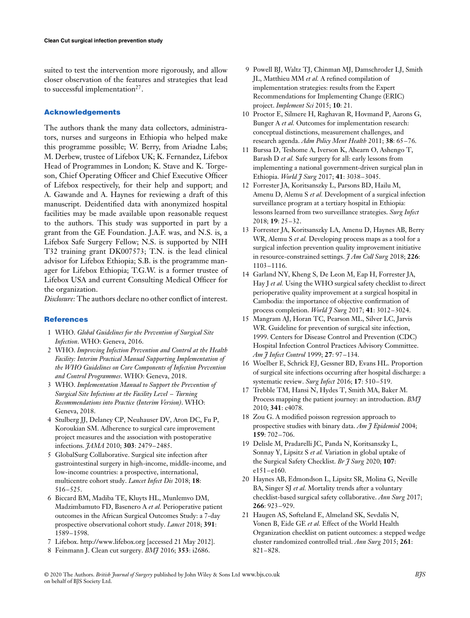suited to test the intervention more rigorously, and allow closer observation of the features and strategies that lead to successful implementation $27$ .

#### **Acknowledgements**

The authors thank the many data collectors, administrators, nurses and surgeons in Ethiopia who helped make this programme possible; W. Berry, from Ariadne Labs; M. Derbew, trustee of Lifebox UK; K. Fernandez, Lifebox Head of Programmes in London; K. Stave and K. Torgeson, Chief Operating Officer and Chief Executive Officer of Lifebox respectively, for their help and support; and A. Gawande and A. Haynes for reviewing a draft of this manuscript. Deidentified data with anonymized hospital facilities may be made available upon reasonable request to the authors. This study was supported in part by a grant from the GE Foundation. J.A.F. was, and N.S. is, a Lifebox Safe Surgery Fellow; N.S. is supported by NIH T32 training grant DK007573; T.N. is the lead clinical advisor for Lifebox Ethiopia; S.B. is the programme manager for Lifebox Ethiopia; T.G.W. is a former trustee of Lifebox USA and current Consulting Medical Officer for the organization.

*Disclosure:* The authors declare no other conflict of interest.

#### **References**

- 1 WHO. *Global Guidelines for the Prevention of Surgical Site Infection*. WHO: Geneva, 2016.
- 2 WHO. *Improving Infection Prevention and Control at the Health Facility: Interim Practical Manual Supporting Implementation of the WHO Guidelines on Core Components of Infection Prevention and Control Programmes*. WHO: Geneva, 2018.
- 3 WHO. *Implementation Manual to Support the Prevention of Surgical Site Infections at the Facility Level – Turning Recommendations into Practice (Interim Version)*. WHO: Geneva, 2018.
- 4 Stulberg JJ, Delaney CP, Neuhauser DV, Aron DC, Fu P, Koroukian SM. Adherence to surgical care improvement project measures and the association with postoperative infections. *JAMA* 2010; **303**: 2479–2485.
- 5 GlobalSurg Collaborative. Surgical site infection after gastrointestinal surgery in high-income, middle-income, and low-income countries: a prospective, international, multicentre cohort study. *Lancet Infect Dis* 2018; **18**: 516–525.
- 6 Biccard BM, Madiba TE, Kluyts HL, Munlemvo DM, Madzimbamuto FD, Basenero A *et al.* Perioperative patient outcomes in the African Surgical Outcomes Study: a 7-day prospective observational cohort study. *Lancet* 2018; **391**: 1589–1598.
- 7 Lifebox.<http://www.lifebox.org> [accessed 21 May 2012].
- 8 Feinmann J. Clean cut surgery. *BMJ* 2016; **353**: i2686.
- 9 Powell BJ, Waltz TJ, Chinman MJ, Damschroder LJ, Smith JL, Matthieu MM *et al.* A refined compilation of implementation strategies: results from the Expert Recommendations for Implementing Change (ERIC) project. *Implement Sci* 2015; **10**: 21.
- 10 Proctor E, Silmere H, Raghavan R, Hovmand P, Aarons G, Bunger A *et al.* Outcomes for implementation research: conceptual distinctions, measurement challenges, and research agenda. *Adm Policy Ment Health* 2011; **38**: 65–76.
- 11 Burssa D, Teshome A, Iverson K, Ahearn O, Ashengo T, Barash D *et al.* Safe surgery for all: early lessons from implementing a national government-driven surgical plan in Ethiopia. *World J Surg* 2017; **41**: 3038–3045.
- 12 Forrester JA, Koritsanszky L, Parsons BD, Hailu M, Amenu D, Alemu S *et al.* Development of a surgical infection surveillance program at a tertiary hospital in Ethiopia: lessons learned from two surveillance strategies. *Surg Infect* 2018; **19**: 25–32.
- 13 Forrester JA, Koritsanszky LA, Amenu D, Haynes AB, Berry WR, Alemu S *et al.* Developing process maps as a tool for a surgical infection prevention quality improvement initiative in resource-constrained settings. *J Am Coll Surg* 2018; **226**: 1103–1116.
- 14 Garland NY, Kheng S, De Leon M, Eap H, Forrester JA, Hay J *et al.* Using the WHO surgical safety checklist to direct perioperative quality improvement at a surgical hospital in Cambodia: the importance of objective confirmation of process completion. *World J Surg* 2017; **41**: 3012–3024.
- 15 Mangram AJ, Horan TC, Pearson ML, Silver LC, Jarvis WR. Guideline for prevention of surgical site infection, 1999. Centers for Disease Control and Prevention (CDC) Hospital Infection Control Practices Advisory Committee. *Am J Infect Control* 1999; **27**: 97–134.
- 16 Woelber E, Schrick EJ, Gessner BD, Evans HL. Proportion of surgical site infections occurring after hospital discharge: a systematic review. *Surg Infect* 2016; **17**: 510–519.
- 17 Trebble TM, Hansi N, Hydes T, Smith MA, Baker M. Process mapping the patient journey: an introduction. *BMJ* 2010; **341**: c4078.
- 18 Zou G. A modified poisson regression approach to prospective studies with binary data. *Am J Epidemiol* 2004; **159**: 702–706.
- 19 Delisle M, Pradarelli JC, Panda N, Koritsanszky L, Sonnay Y, Lipsitz S *et al.* Variation in global uptake of the Surgical Safety Checklist. *Br J Surg* 2020; **107**: e151–e160.
- 20 Haynes AB, Edmondson L, Lipsitz SR, Molina G, Neville BA, Singer SJ *et al.* Mortality trends after a voluntary checklist-based surgical safety collaborative. *Ann Surg* 2017; **266**: 923–929.
- 21 Haugen AS, Søfteland E, Almeland SK, Sevdalis N, Vonen B, Eide GE *et al.* Effect of the World Health Organization checklist on patient outcomes: a stepped wedge cluster randomized controlled trial. *Ann Surg* 2015; **261**: 821–828.